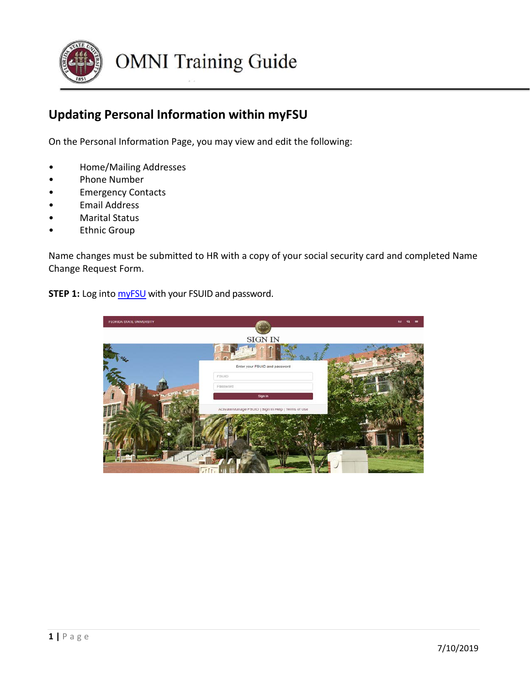

## **Updating Personal Information within myFSU**

On the Personal Information Page, you may view and edit the following:

- Home/Mailing Addresses
- Phone Number
- Emergency Contacts
- Email Address
- Marital Status
- **Ethnic Group**

Name changes must be submitted to HR with a copy of your social security card and completed Name Change Request Form.

**STEP 1:** Log into **[myFSU](https://www.my.fsu.edu/)** with your FSUID and password.

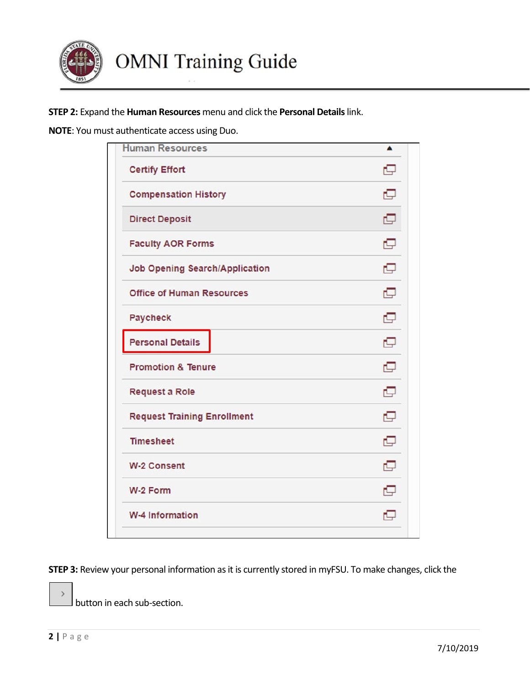

**STEP 2:** Expand the **Human Resources** menu and click the **Personal Details** link.

**NOTE**: You must authenticate access using Duo.

| <b>Human Resources</b>                | ▲ |
|---------------------------------------|---|
| <b>Certify Effort</b>                 | c |
| <b>Compensation History</b>           | o |
| <b>Direct Deposit</b>                 | c |
| <b>Faculty AOR Forms</b>              | o |
| <b>Job Opening Search/Application</b> | o |
| <b>Office of Human Resources</b>      | c |
| Paycheck                              | c |
| <b>Personal Details</b>               | o |
| <b>Promotion &amp; Tenure</b>         | c |
| <b>Request a Role</b>                 | c |
| <b>Request Training Enrollment</b>    | o |
| <b>Timesheet</b>                      | o |
| <b>W-2 Consent</b>                    | e |
| W-2 Form                              | o |
| <b>W-4 Information</b>                | c |

**STEP 3:** Review your personal information as it is currently stored in myFSU. To make changes, click the

button in each sub-section.

 $\rightarrow$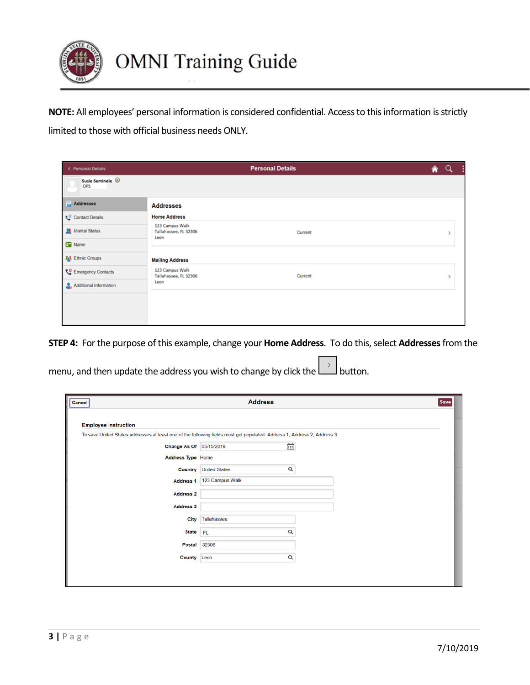

**NOTE:** All employees' personal information is considered confidential. Access to this information is strictly limited to those with official business needs ONLY.

| < Personal Details       |                                                  | <b>Personal Details</b> | € | Q |
|--------------------------|--------------------------------------------------|-------------------------|---|---|
| Susie Seminole @<br>OPS  |                                                  |                         |   |   |
| <b>Addresses</b>         | <b>Addresses</b>                                 |                         |   |   |
| Contact Details          | <b>Home Address</b>                              |                         |   |   |
| Marital Status           | 123 Campus Walk<br>Tallahassee, FL 32306<br>Leon | Current                 |   |   |
| <b>B</b> Name            |                                                  |                         |   |   |
| <b>2.3</b> Ethnic Groups | <b>Mailing Address</b>                           |                         |   |   |
| Emergency Contacts       | 123 Campus Walk<br>Tallahassee, FL 32306         | Current                 |   |   |
| Additional Information   | Leon                                             |                         |   |   |
|                          |                                                  |                         |   |   |
|                          |                                                  |                         |   |   |
|                          |                                                  |                         |   |   |

**STEP 4:** For the purpose of this example, change your **Home Address**. To do this, select **Addresses**from the

menu, and then update the address you wish to change by click the  $\Box$  button.

| Cancel                                                                                                                   | <b>Address</b>            | <b>Save</b> |
|--------------------------------------------------------------------------------------------------------------------------|---------------------------|-------------|
|                                                                                                                          |                           |             |
| <b>Employee Instruction</b>                                                                                              |                           |             |
| To save United States addresses at least one of the following fields must get populated: Address 1, Address 2, Address 3 |                           |             |
| Change As Of 05/15/2019                                                                                                  | $\widehat{\mathbb{H}}$    |             |
| Address Type Home                                                                                                        |                           |             |
| Country                                                                                                                  | Q<br><b>United States</b> |             |
| <b>Address 1</b>                                                                                                         | 123 Campus Walk           |             |
| <b>Address 2</b>                                                                                                         |                           |             |
| Address 3                                                                                                                |                           |             |
| <b>City</b>                                                                                                              | Tallahassee               |             |
| <b>State</b>                                                                                                             | Q<br><b>FL</b>            |             |
| Postal                                                                                                                   | 32306                     |             |
| County                                                                                                                   | Q<br>Leon                 |             |
|                                                                                                                          |                           |             |
|                                                                                                                          |                           |             |
|                                                                                                                          |                           |             |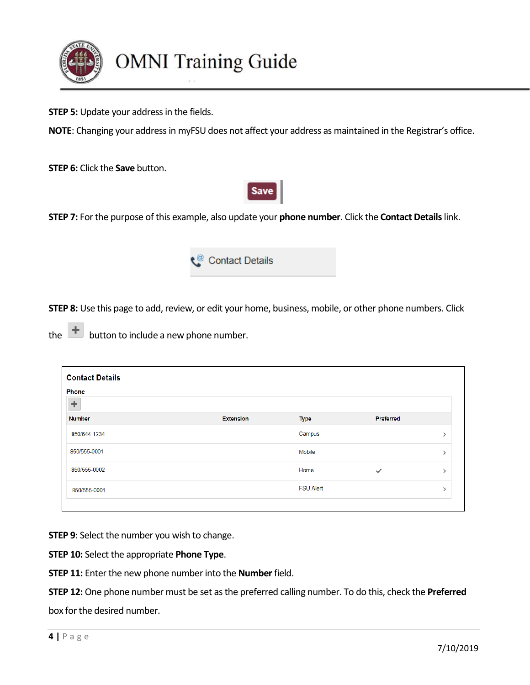

## **OMNI Training Guide**

**STEP 5:** Update your address in the fields.

**NOTE**: Changing your address in myFSU does not affect your address as maintained in the Registrar's office.

**STEP 6:** Click the **Save** button.



**STEP 7:** For the purpose of this example, also update your **phone number**. Click the **Contact Details** link.



**STEP 8:** Use this page to add, review, or edit your home, business, mobile, or other phone numbers. Click

the  $\left| \begin{array}{c} + \end{array} \right|$  button to include a new phone number.

| <b>Contact Details</b><br><b>Phone</b> |                  |                  |              |  |
|----------------------------------------|------------------|------------------|--------------|--|
| ÷                                      |                  |                  |              |  |
| <b>Number</b>                          | <b>Extension</b> | <b>Type</b>      | Preferred    |  |
| 850/644-1234                           |                  | Campus           |              |  |
| 850/555-0001                           |                  | Mobile           |              |  |
| 850/555-0002                           |                  | Home             | $\checkmark$ |  |
| 850/555-0001                           |                  | <b>FSU Alert</b> |              |  |

**STEP 9**: Select the number you wish to change.

**STEP 10:** Select the appropriate **Phone Type**.

**STEP 11:** Enter the new phone number into the **Number** field.

**STEP 12:** One phone number must be set as the preferred calling number. To do this, check the **Preferred** box for the desired number.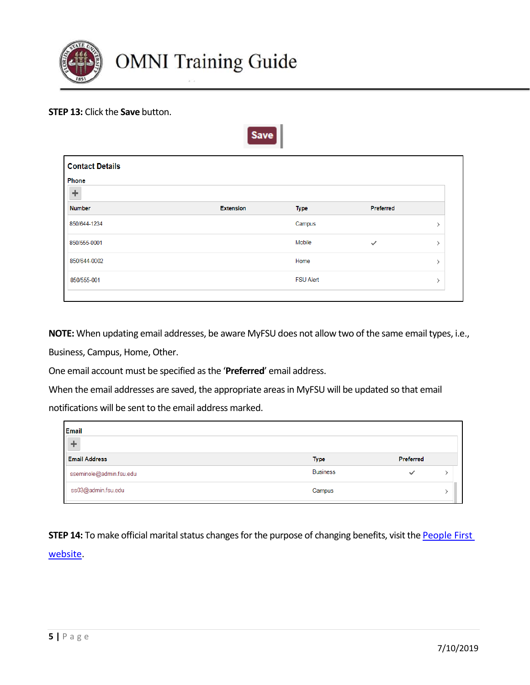

## **STEP 13:** Click the **Save** button.

| <b>Contact Details</b><br>Phone |                  |                  |              |               |
|---------------------------------|------------------|------------------|--------------|---------------|
| ÷                               |                  |                  |              |               |
| <b>Number</b>                   | <b>Extension</b> | <b>Type</b>      | Preferred    |               |
| 850/644-1234                    |                  | Campus           |              |               |
| 850/555-0001                    |                  | Mobile           | $\checkmark$ |               |
| 850/644-0002                    |                  | Home             |              | $\mathcal{E}$ |
| 850/555-001                     |                  | <b>FSU Alert</b> |              | $\mathcal{E}$ |

 $S<sub>ave</sub>$ 

**NOTE:** When updating email addresses, be aware MyFSU does not allow two of the same email types, i.e.,

Business, Campus, Home, Other.

One email account must be specified as the '**Preferred**' email address.

When the email addresses are saved, the appropriate areas in MyFSU will be updated so that email

notifications will be sent to the email address marked.

| <b>Email</b><br>$\rightarrow$ |                 |           |  |
|-------------------------------|-----------------|-----------|--|
| <b>Email Address</b>          | Type            | Preferred |  |
| sseminole@admin.fsu.edu       | <b>Business</b> | ✓         |  |
| ss03@admin.fsu.edu            | Campus          |           |  |

**STEP 14:** To make official marital status changes for the purpose of changing benefits, visit the **People First** [website.](https://peoplefirst.myflorida.com/peoplefirst(bD1lbiZjPTIzMA%3D%3D)/logon.htm)